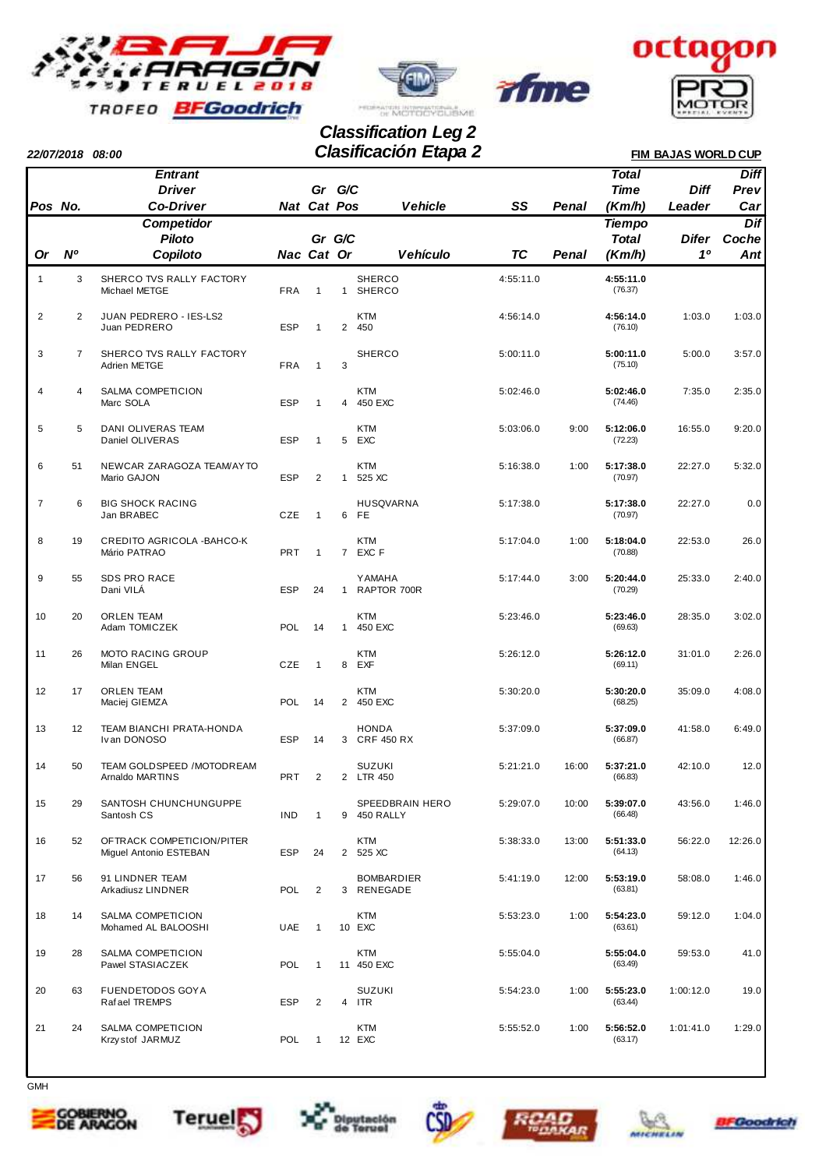



rfme



## **22/07/2018 08:00 FIM BAJAS WORLD CUP Clasificación Etapa 2 Classification Leg 2**

|                |                | <b>Entrant</b>                                      |            |                    |                |                                 |           |       | <b>Total</b>         |              | <b>Diff</b> |
|----------------|----------------|-----------------------------------------------------|------------|--------------------|----------------|---------------------------------|-----------|-------|----------------------|--------------|-------------|
|                |                | <b>Driver</b>                                       |            | Gr G/C             |                |                                 |           |       | <b>Time</b>          | Diff         | Prev        |
| Pos No.        |                | <b>Co-Driver</b>                                    |            | <b>Nat Cat Pos</b> |                | <b>Vehicle</b>                  | SS        | Penal | (Km/h)               | Leader       | Car         |
|                |                | <b>Competidor</b>                                   |            |                    |                |                                 |           |       | <b>Tiempo</b>        |              | Dif         |
|                |                | <b>Piloto</b>                                       |            | Gr G/C             |                |                                 |           |       | <b>Total</b>         | <b>Difer</b> | Coche       |
| Or             | N <sup>o</sup> | Copiloto                                            | Nac Cat Or |                    |                | <b>Vehículo</b>                 | <b>TC</b> | Penal | (Km/h)               | 10           | Ant         |
| $\mathbf{1}$   | 3              | SHERCO TVS RALLY FACTORY<br>Michael METGE           | <b>FRA</b> | $\mathbf{1}$       | 1              | <b>SHERCO</b><br><b>SHERCO</b>  | 4:55:11.0 |       | 4:55:11.0<br>(76.37) |              |             |
| $\overline{c}$ | $\overline{2}$ | JUAN PEDRERO - IES-LS2<br>Juan PEDRERO              | <b>ESP</b> | $\mathbf{1}$       | $\overline{2}$ | <b>KTM</b><br>450               | 4:56:14.0 |       | 4:56:14.0<br>(76.10) | 1:03.0       | 1:03.0      |
| 3              | $\overline{7}$ | SHERCO TVS RALLY FACTORY<br>Adrien METGE            | <b>FRA</b> | $\mathbf{1}$       | 3              | <b>SHERCO</b>                   | 5:00:11.0 |       | 5:00:11.0<br>(75.10) | 5:00.0       | 3:57.0      |
| 4              | 4              | SALMA COMPETICION<br>Marc SOLA                      | <b>ESP</b> | $\mathbf{1}$       |                | <b>KTM</b><br>4 450 EXC         | 5:02:46.0 |       | 5:02:46.0<br>(74.46) | 7:35.0       | 2:35.0      |
| 5              | 5              | <b>DANI OLIVERAS TEAM</b><br>Daniel OLIVERAS        | <b>ESP</b> | $\mathbf{1}$       |                | <b>KTM</b><br>5 EXC             | 5:03:06.0 | 9:00  | 5:12:06.0<br>(72.23) | 16:55.0      | 9:20.0      |
| 6              | 51             | NEWCAR ZARAGOZA TEAM/AYTO<br>Mario GAJON            | <b>ESP</b> | 2                  | $\mathbf{1}$   | <b>KTM</b><br>525 XC            | 5:16:38.0 | 1:00  | 5:17:38.0<br>(70.97) | 22:27.0      | 5:32.0      |
| $\overline{7}$ | 6              | <b>BIG SHOCK RACING</b><br>Jan BRABEC               | CZE        | $\mathbf{1}$       |                | HUSQVARNA<br>6 FE               | 5:17:38.0 |       | 5:17:38.0<br>(70.97) | 22:27.0      | 0.0         |
| 8              | 19             | CREDITO AGRICOLA - BAHCO-K<br>Mário PATRAO          | <b>PRT</b> | $\mathbf{1}$       |                | KTM<br>7 EXC F                  | 5:17:04.0 | 1:00  | 5:18:04.0<br>(70.88) | 22:53.0      | 26.0        |
| 9              | 55             | SDS PRO RACE<br>Dani VILÁ                           | <b>ESP</b> | 24                 | $\mathbf{1}$   | <b>YAMAHA</b><br>RAPTOR 700R    | 5:17:44.0 | 3:00  | 5:20:44.0<br>(70.29) | 25:33.0      | 2:40.0      |
| 10             | 20             | <b>ORLEN TEAM</b><br>Adam TOMICZEK                  | <b>POL</b> | 14                 | $\mathbf{1}$   | KTM<br>450 EXC                  | 5:23:46.0 |       | 5:23:46.0<br>(69.63) | 28:35.0      | 3:02.0      |
| 11             | 26             | <b>MOTO RACING GROUP</b><br>Milan ENGEL             | CZE        | $\mathbf{1}$       | 8              | KTM<br>EXF                      | 5:26:12.0 |       | 5:26:12.0<br>(69.11) | 31:01.0      | 2:26.0      |
| 12             | 17             | <b>ORLEN TEAM</b><br>Maciej GIEMZA                  | <b>POL</b> | 14                 |                | KTM<br>2 450 EXC                | 5:30:20.0 |       | 5:30:20.0<br>(68.25) | 35:09.0      | 4:08.0      |
| 13             | 12             | TEAM BIANCHI PRATA-HONDA<br>Ivan DONOSO             | <b>ESP</b> | 14                 |                | <b>HONDA</b><br>3 CRF 450 RX    | 5:37:09.0 |       | 5:37:09.0<br>(66.87) | 41:58.0      | 6:49.0      |
| 14             | 50             | TEAM GOLDSPEED /MOTODREAM<br>Arnaldo MARTINS        | <b>PRT</b> | 2                  |                | <b>SUZUKI</b><br>2 LTR 450      | 5:21:21.0 | 16:00 | 5:37:21.0<br>(66.83) | 42:10.0      | 12.0        |
| 15             | 29             | SANTOSH CHUNCHUNGUPPE<br>Santosh CS                 | IND        | $\mathbf{1}$       |                | SPEEDBRAIN HERO<br>9 450 RALLY  | 5:29:07.0 | 10:00 | 5:39:07.0<br>(66.48) | 43:56.0      | 1:46.0      |
| 16             | 52             | OFTRACK COMPETICION/PITER<br>Miguel Antonio ESTEBAN | ESP        | 24                 |                | <b>KTM</b><br>2 525 XC          | 5:38:33.0 | 13:00 | 5:51:33.0<br>(64.13) | 56:22.0      | 12:26.0     |
| 17             | 56             | 91 LINDNER TEAM<br>Arkadiusz LINDNER                | <b>POL</b> | $\overline{2}$     |                | <b>BOMBARDIER</b><br>3 RENEGADE | 5:41:19.0 | 12:00 | 5:53:19.0<br>(63.81) | 58:08.0      | 1:46.0      |
| 18             | 14             | SALMA COMPETICION<br>Mohamed AL BALOOSHI            | <b>UAE</b> | $\mathbf{1}$       |                | KTM<br>10 EXC                   | 5:53:23.0 | 1:00  | 5:54:23.0<br>(63.61) | 59:12.0      | 1:04.0      |
| 19             | 28             | SALMA COMPETICION<br>Pawel STASIACZEK               | <b>POL</b> | $\mathbf{1}$       |                | KTM<br>11 450 EXC               | 5:55:04.0 |       | 5:55:04.0<br>(63.49) | 59:53.0      | 41.0        |
| 20             | 63             | <b>FUENDETODOS GOY A</b><br>Rafael TREMPS           | ESP        | 2                  |                | SUZUKI<br>4 ITR                 | 5:54:23.0 | 1:00  | 5:55:23.0<br>(63.44) | 1:00:12.0    | 19.0        |
| 21             | 24             | SALMA COMPETICION<br>Krzy stof JARMUZ               | <b>POL</b> | $\mathbf{1}$       |                | KTM<br>12 EXC                   | 5:55:52.0 | 1:00  | 5:56:52.0<br>(63.17) | 1:01:41.0    | 1:29.0      |
|                |                |                                                     |            |                    |                |                                 |           |       |                      |              |             |



**GMH**